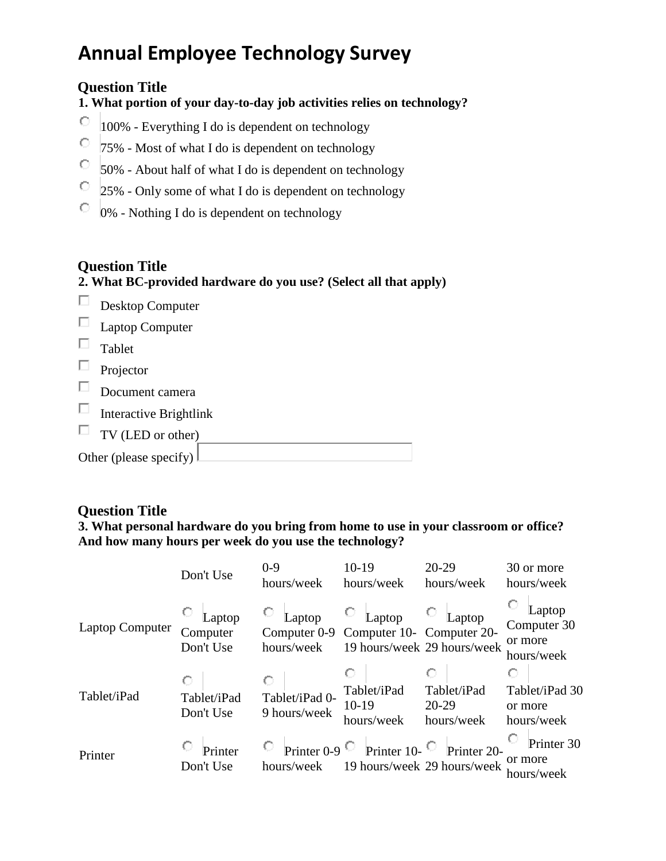### **Question Title**

**1. What portion of your day-to-day job activities relies on technology?**

- О 100% - Everything I do is dependent on technology
- О. 75% - Most of what I do is dependent on technology
- О. 50% - About half of what I do is dependent on technology
- О. 25% - Only some of what I do is dependent on technology
- 0% Nothing I do is dependent on technology

### **Question Title**

### **2. What BC-provided hardware do you use? (Select all that apply)**

- $\Box$ Desktop Computer
- Laptop Computer
- $\Box$  Tablet
- $\Box$  Projector
- Document camera
- Interactive Brightlink  $\Box$
- TV (LED or other)

| Other (please specify) $\lfloor$ |  |
|----------------------------------|--|
|                                  |  |

### **Question Title**

### **3. What personal hardware do you bring from home to use in your classroom or office? And how many hours per week do you use the technology?**

|                        | Don't Use                       | $0-9$<br>hours/week            | $10-19$<br>hours/week                            | $20-29$<br>hours/week                      | 30 or more<br>hours/week                       |
|------------------------|---------------------------------|--------------------------------|--------------------------------------------------|--------------------------------------------|------------------------------------------------|
| <b>Laptop Computer</b> | Laptop<br>Computer<br>Don't Use | Laptop<br>hours/week           | Laptop<br>Computer 0-9 Computer 10- Computer 20- | Laptop<br>19 hours/week 29 hours/week      | Laptop<br>Computer 30<br>or more<br>hours/week |
| Tablet/iPad            | Tablet/iPad<br>Don't Use        | Tablet/iPad 0-<br>9 hours/week | Tablet/iPad<br>$10-19$<br>hours/week             | Tablet/iPad<br>$20-29$<br>hours/week       | Ο<br>Tablet/iPad 30<br>or more<br>hours/week   |
| Printer                | Printer<br>Don't Use            | hours/week                     | Printer 0-9 $\circ$ Printer 10-                  | Printer 20-<br>19 hours/week 29 hours/week | Printer 30<br>or more<br>hours/week            |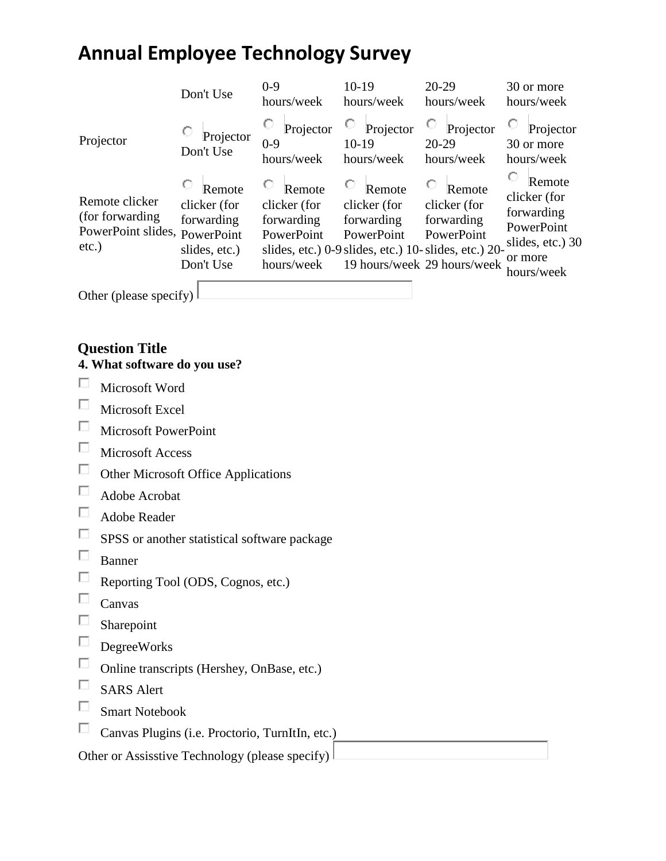|                                                                                 | Don't Use                                                          | $0 - 9$<br>hours/week                                            | $10-19$<br>hours/week                              | $20-29$<br>hours/week                                                                                                                      | 30 or more<br>hours/week                                                                        |
|---------------------------------------------------------------------------------|--------------------------------------------------------------------|------------------------------------------------------------------|----------------------------------------------------|--------------------------------------------------------------------------------------------------------------------------------------------|-------------------------------------------------------------------------------------------------|
| Projector                                                                       | Projector<br>Don't Use                                             | Projector<br>$0-9$<br>hours/week                                 | Projector<br>$10-19$<br>hours/week                 | Projector<br>$20 - 29$<br>hours/week                                                                                                       | Projector<br>30 or more<br>hours/week                                                           |
| Remote clicker<br>(for forwarding)<br>PowerPoint slides, PowerPoint<br>$etc.$ ) | Remote<br>clicker (for<br>forwarding<br>slides, etc.)<br>Don't Use | Remote<br>clicker (for<br>forwarding<br>PowerPoint<br>hours/week | Remote<br>clicker (for<br>forwarding<br>PowerPoint | Remote<br>clicker (for<br>forwarding<br>PowerPoint<br>slides, etc.) 0-9 slides, etc.) 10- slides, etc.) 20-<br>19 hours/week 29 hours/week | Remote<br>clicker (for<br>forwarding<br>PowerPoint<br>slides, etc.) 30<br>or more<br>hours/week |
| Other (please specify)                                                          |                                                                    |                                                                  |                                                    |                                                                                                                                            |                                                                                                 |

### **Question Title**

### **4. What software do you use?**

- $\Box$ Microsoft Word
- $\Box$ Microsoft Excel
- $\Box$  Microsoft PowerPoint
- Microsoft Access
- $\Box$  Other Microsoft Office Applications
- Adobe Acrobat
- $\Box$  Adobe Reader
- $\square$  SPSS or another statistical software package
- $\hfill \Box$  Banner
- Reporting Tool (ODS, Cognos, etc.)
- $\square$  Canvas
- $\Box$ Sharepoint
- $\quad \Box$  DegreeWorks
- Online transcripts (Hershey, OnBase, etc.)
- $\Box$  SARS Alert
- $\Box$ Smart Notebook
- $\Box$ Canvas Plugins (i.e. Proctorio, TurnItIn, etc.)

Other or Assisstive Technology (please specify)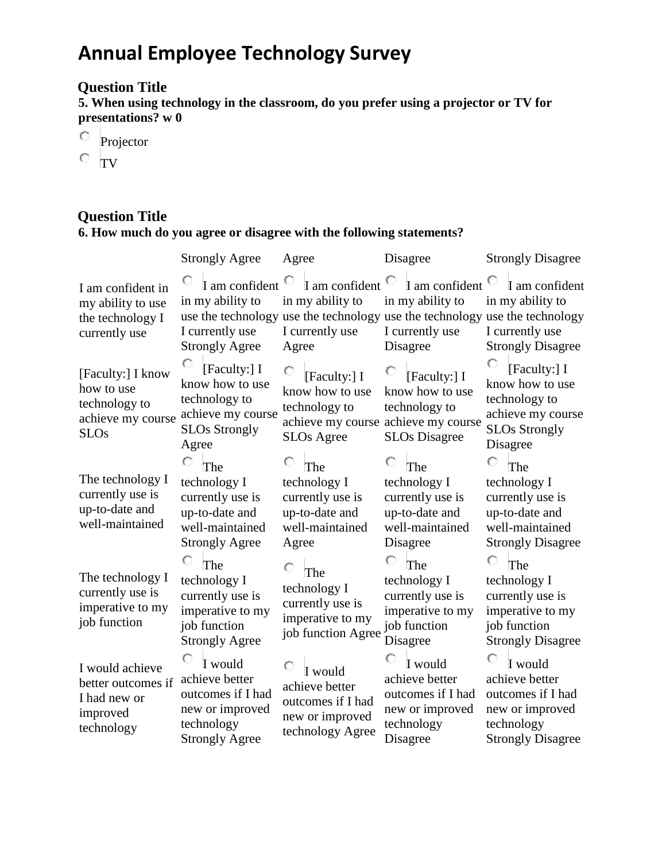## **Question Title**

**5. When using technology in the classroom, do you prefer using a projector or TV for presentations? w 0** 

- $\overline{\phantom{a}}$  Projector
- $\circ$  TV

### **Question Title 6. How much do you agree or disagree with the following statements?**

|                                                                                      | <b>Strongly Agree</b>                                                                                       | Agree                                                                                                       | Disagree                                                                                                        | <b>Strongly Disagree</b>                                                                                                                                         |
|--------------------------------------------------------------------------------------|-------------------------------------------------------------------------------------------------------------|-------------------------------------------------------------------------------------------------------------|-----------------------------------------------------------------------------------------------------------------|------------------------------------------------------------------------------------------------------------------------------------------------------------------|
| I am confident in<br>my ability to use<br>the technology I<br>currently use          | in my ability to<br>I currently use<br><b>Strongly Agree</b>                                                | I am confident $\overline{C}$ I am confident $\overline{C}$<br>in my ability to<br>I currently use<br>Agree | I am confident $\bigcirc$<br>in my ability to<br>I currently use<br>Disagree                                    | I am confident<br>in my ability to<br>use the technology use the technology use the technology use the technology<br>I currently use<br><b>Strongly Disagree</b> |
| [Faculty:] I know<br>how to use<br>technology to<br>achieve my course<br><b>SLOs</b> | О<br>[Faculty:] I<br>know how to use<br>technology to<br>achieve my course<br><b>SLOs Strongly</b><br>Agree | [Faculty:] I<br>know how to use<br>technology to<br><b>SLOs Agree</b>                                       | [Faculty:] I<br>know how to use<br>technology to<br>achieve my course achieve my course<br><b>SLOs Disagree</b> | [Faculty:] I<br>know how to use<br>technology to<br>achieve my course<br><b>SLOs Strongly</b><br>Disagree                                                        |
| The technology I<br>currently use is<br>up-to-date and<br>well-maintained            | The<br>technology I<br>currently use is<br>up-to-date and<br>well-maintained<br><b>Strongly Agree</b>       | The<br>technology I<br>currently use is<br>up-to-date and<br>well-maintained<br>Agree                       | The<br>technology I<br>currently use is<br>up-to-date and<br>well-maintained<br>Disagree                        | The<br>technology I<br>currently use is<br>up-to-date and<br>well-maintained<br><b>Strongly Disagree</b>                                                         |
| The technology I<br>currently use is<br>imperative to my<br>job function             | The<br>technology I<br>currently use is<br>imperative to my<br>job function<br><b>Strongly Agree</b>        | The<br>technology I<br>currently use is<br>imperative to my<br>job function Agree                           | The<br>technology I<br>currently use is<br>imperative to my<br>job function<br>Disagree                         | The<br>technology I<br>currently use is<br>imperative to my<br>job function<br><b>Strongly Disagree</b>                                                          |
| I would achieve<br>better outcomes if<br>I had new or<br>improved<br>technology      | I would<br>achieve better<br>outcomes if I had<br>new or improved<br>technology<br><b>Strongly Agree</b>    | I would<br>achieve better<br>outcomes if I had<br>new or improved<br>technology Agree                       | I would<br>achieve better<br>outcomes if I had<br>new or improved<br>technology<br>Disagree                     | I would<br>achieve better<br>outcomes if I had<br>new or improved<br>technology<br><b>Strongly Disagree</b>                                                      |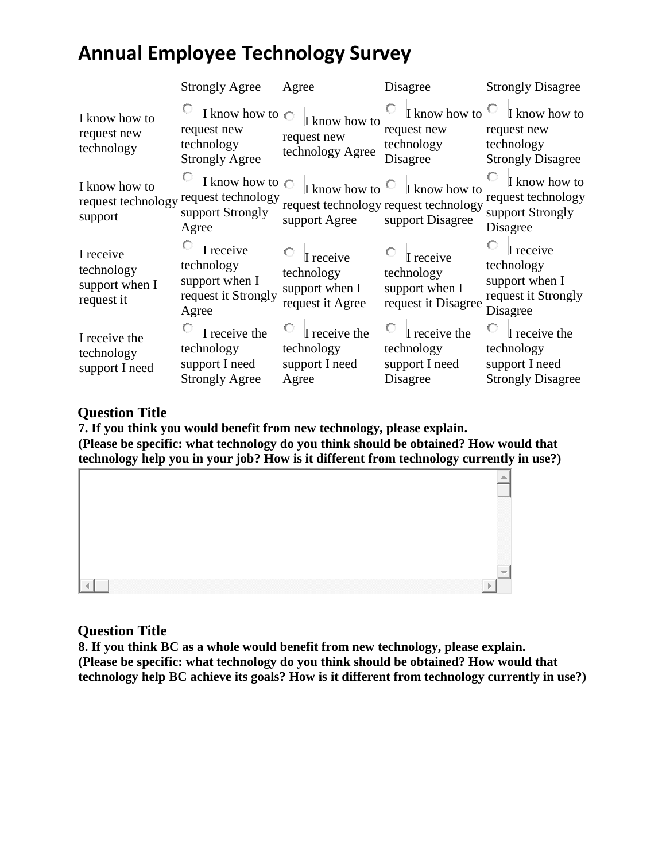|                                                         | <b>Strongly Agree</b>                                                          | Agree                                                                                  | Disagree                                                                                                               | <b>Strongly Disagree</b>                                                           |
|---------------------------------------------------------|--------------------------------------------------------------------------------|----------------------------------------------------------------------------------------|------------------------------------------------------------------------------------------------------------------------|------------------------------------------------------------------------------------|
| I know how to<br>request new<br>technology              | I know how to $\bigcirc$<br>request new<br>technology<br><b>Strongly Agree</b> | I know how to<br>request new<br>technology Agree                                       | I know how to $\heartsuit$<br>request new<br>technology<br>Disagree                                                    | I know how to<br>request new<br>technology<br><b>Strongly Disagree</b>             |
| I know how to<br>request technology<br>support          | request technology<br>support Strongly<br>Agree                                | support Agree                                                                          | I know how to $\circ$ I know how to $\circ$ I know how to<br>request technology request technology<br>support Disagree | $\overline{C}$ I know how to<br>request technology<br>support Strongly<br>Disagree |
| I receive<br>technology<br>support when I<br>request it | I receive<br>technology<br>support when I<br>request it Strongly<br>Agree      | $\overline{\phantom{a}}$ I receive<br>technology<br>support when I<br>request it Agree | $\circ$ I receive<br>technology<br>support when I<br>request it Disagree                                               | I receive<br>technology<br>support when I<br>request it Strongly<br>Disagree       |
| I receive the<br>technology<br>support I need           | I receive the<br>technology<br>support I need<br><b>Strongly Agree</b>         | I receive the<br>technology<br>support I need<br>Agree                                 | I receive the<br>technology<br>support I need<br>Disagree                                                              | I receive the<br>technology<br>support I need<br><b>Strongly Disagree</b>          |

#### **Question Title**

**7. If you think you would benefit from new technology, please explain. (Please be specific: what technology do you think should be obtained? How would that technology help you in your job? How is it different from technology currently in use?)**



### **Question Title**

**8. If you think BC as a whole would benefit from new technology, please explain. (Please be specific: what technology do you think should be obtained? How would that technology help BC achieve its goals? How is it different from technology currently in use?)**